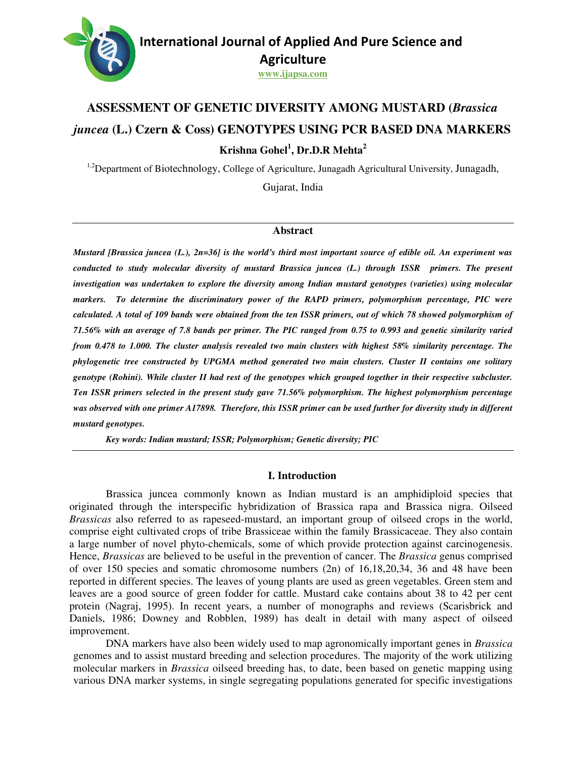

#### **www.ijapsa.com**

# **ASSESSMENT OF GENETIC DIVERSITY AMONG MUSTARD (Brassica** *juncea* **(L.) Czern & Coss) GENOTYPES USING PCR BASED DNA MARKERS Krishna Gohel Gohel<sup>1</sup> , Dr.D.R Mehta<sup>2</sup>**

<sup>1,2</sup>Department of Biotechnology, College of Agriculture, Junagadh Agricultural University, Junagadh,

Gujarat, India

#### **Abstract**

*Mustard [Brassica juncea (L.), 2n=36] is the world's third most important source of edible oil. An experiment was*  Mustard [Brassica juncea (L.), 2n=36] is the world's third most important source of edible oil. An experiment was<br>conducted to study molecular diversity of mustard Brassica juncea (L.) through ISSR primers. The present *investigation was undertaken to explore the diversity among Indian mustard genotypes (varieties) using molecular among mustard markers. To determine the discriminatory power of the RAPD primers, polymorphism percentage, PIC were calculated. A total of 109 bands were obtained from the ten ISSR primers, out of which 78 showed polymorphism of 71.56% with an average of 7.8 bands per primer. The PIC ranged from 0.75 to 0.993 and genetic similarity varied from 0.478 to 1.000. The cluster analysis revealed two main phylogenetic tree constructed by UPGMA method generated two main clusters. Cluster II contains one solitary*  phylogenetic tree constructed by UPGMA method generated two main clusters. Cluster II contains one solitary<br>genotype (Rohini). While cluster II had rest of the genotypes which grouped together in their respective subcluste *Ten ISSR primers selected in the present study gave 71.56% polymorphism. The highest polymorphism percentage was observed with one primer A17898. Therefore, this ISSR primer can be used further for diversity study in different mustard genotypes. ands from polymorphism an 7.8 PIC ranged and genetic varied 1.000. clusters with highest 58% similarity percentage. The*  **R** primers selected in the present study gave 71.56% polymorphism. The highest polymorp<br>rved with one primer A17898. Therefore, this ISSR primer can be used further for diversity<br>genotypes.<br>Key words: Indian mustard; ISSR *investigation was undertaken to explore the diversity among Indian mustard genotypes (markers.* To determine the discriminatory power of the RAPD primers, polymorphicalculated. A total of 109 bands were obtained from the

*Key words: Indian mustard; ISSR*

#### **I. Introduction**

Brassica juncea commonly known as Indian mustard is an amphidiploid species that Brassica juncea commonly known as Indian mustard is an amphidiploid species that originated through the interspecific hybridization of Brassica rapa and Brassica nigra. Oilseed Brassicas also referred to as rapeseed-mustard, an important group of oilseed crops in the world, comprise eight cultivated crops of tribe Brassiceae within the family Brassicaceae. They also contain a large number of novel phyto-chemicals, some of which provide protection against carcinogenesis. a large number of novel phyto-chemicals, some of which provide protection against Hence, *Brassicas* are believed to be useful in the prevention of cancer. The *Brassica* g of over 150 species and somatic chromosome numbers  $(2n)$  of 16,18,20,34, 36 and 48 have been reported in different species. The leaves of young plants are used as green vegetables. Green stem and leaves are a good source of green fodder for cattle. Mustard cake contains about 38 to 42 per cent protein (Nagraj, 1995). In recent years, a n Daniels, 1986; Downey and Robblen, 1989) has dealt in detail with many aspect of oilseed improvement. es and somatic chromosome numbers (2n) of 16,18,20,34, 36 and 48 have been<br>at species. The leaves of young plants are used as green vegetables. Green stem and<br>source of green fodder for cattle. Mustard cake contains about mustard, an important group of oilseed crops in the world, Brassiceae within the family Brassicaceae. They also contain Is, some of which provide protection against carcinogenesis. Ful in the prevention of cancer. The *Bra* reported in different species. The leaves of young plants are used as green vegetables. Green stem and leaves are a good source of green fodder for cattle. Mustard cake contains about 38 to 42 per cent protein (Nagraj, 199

DNA markers have also been widely used to map agronomically important genes in *Brassica* genomes and to assist mustard breeding and selection procedures. The majority of the work utilizing molecular markers in *Brassica* oilseed breeding has, to date, been based on genetic mapping using various DNA marker systems, in single segregating populations generated for whey and Robblen, 1989) has dealt in detail with many aspect of oilseed<br>ers have also been widely used to map agronomically important genes in *Brassica*<br>sist mustard breeding and selection procedures. The majority of the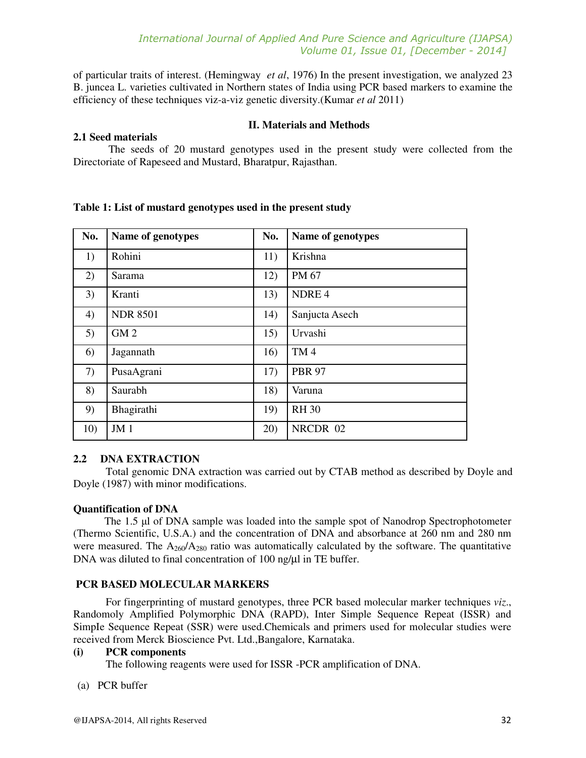of particular traits of interest. (Hemingway *et al*, 1976) In the present investigation, we analyzed 23 B. juncea L. varieties cultivated in Northern states of India using PCR based markers to examine the efficiency of these techniques viz-a-viz genetic diversity.(Kumar *et al* 2011)

#### **II. Materials and Methods**

## **2.1 Seed materials**

 The seeds of 20 mustard genotypes used in the present study were collected from the Directoriate of Rapeseed and Mustard, Bharatpur, Rajasthan.

| No. | Name of genotypes | No. | Name of genotypes |
|-----|-------------------|-----|-------------------|
| 1)  | Rohini            | 11) | Krishna           |
| 2)  | Sarama            | 12) | PM 67             |
| 3)  | Kranti            | 13) | NDRE <sub>4</sub> |
| 4)  | <b>NDR 8501</b>   | 14) | Sanjucta Asech    |
| 5)  | GM <sub>2</sub>   | 15) | Urvashi           |
| 6)  | Jagannath         | 16) | TM <sub>4</sub>   |
| 7)  | PusaAgrani        | 17) | <b>PBR 97</b>     |
| 8)  | Saurabh           | 18) | Varuna            |
| 9)  | Bhagirathi        | 19) | <b>RH 30</b>      |
| 10) | JM <sub>1</sub>   | 20) | NRCDR 02          |

# **Table 1: List of mustard genotypes used in the present study**

# **2.2 DNA EXTRACTION**

Total genomic DNA extraction was carried out by CTAB method as described by Doyle and Doyle (1987) with minor modifications.

# **Quantification of DNA**

The 1.5 µl of DNA sample was loaded into the sample spot of Nanodrop Spectrophotometer (Thermo Scientific, U.S.A.) and the concentration of DNA and absorbance at 260 nm and 280 nm were measured. The  $A_{260}/A_{280}$  ratio was automatically calculated by the software. The quantitative DNA was diluted to final concentration of 100 ng/ $\mu$ l in TE buffer.

# **PCR BASED MOLECULAR MARKERS**

For fingerprinting of mustard genotypes, three PCR based molecular marker techniques *viz*., Randomoly Amplified Polymorphic DNA (RAPD), Inter Simple Sequence Repeat (ISSR) and SimpIe Sequence Repeat (SSR) were used.Chemicals and primers used for molecular studies were received from Merck Bioscience Pvt. Ltd.,Bangalore, Karnataka.

## **(i) PCR components**

The following reagents were used for ISSR -PCR amplification of DNA.

#### (a) PCR buffer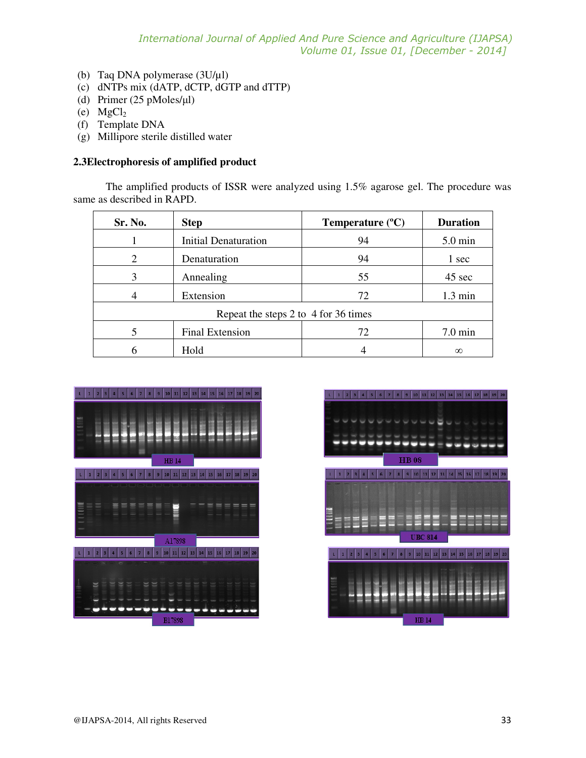- (b) Taq DNA polymerase (3U/µl)
- (c) dNTPs mix (dATP, dCTP, dGTP and dTTP)
- (d) Primer (25 pMoles/µl)
- (e)  $MgCl<sub>2</sub>$
- (f) Template DNA
- (g) Millipore sterile distilled water

#### **2.3Electrophoresis of amplified product**

The amplified products of ISSR were analyzed using 1.5% agarose gel. The procedure was same as described in RAPD.

| Sr. No.                              | <b>Step</b>                 | Temperature $(^{\circ}C)$ | <b>Duration</b>   |  |  |
|--------------------------------------|-----------------------------|---------------------------|-------------------|--|--|
|                                      | <b>Initial Denaturation</b> | 94                        | $5.0 \text{ min}$ |  |  |
| 2                                    | Denaturation                | 94                        | 1 sec             |  |  |
| 3                                    | Annealing                   | 55                        | 45 sec            |  |  |
|                                      | Extension                   | 72                        | $1.3 \text{ min}$ |  |  |
| Repeat the steps 2 to 4 for 36 times |                             |                           |                   |  |  |
|                                      | <b>Final Extension</b>      | 72                        | $7.0 \text{ min}$ |  |  |
|                                      | Hold                        |                           | $\infty$          |  |  |



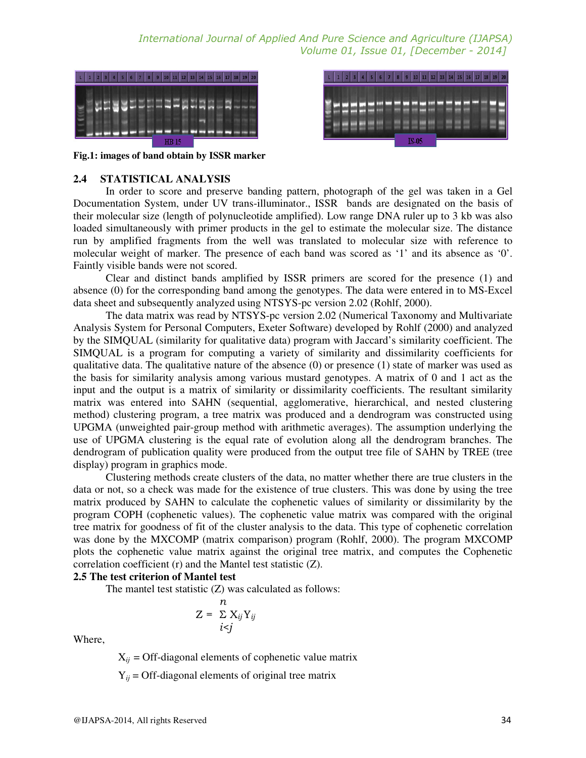*International Journal of Applied And Pure Science and Agriculture (IJAPSA) Volume 01, Issue 01, [December - 2014]* 





**Fig.1: images of band obtain by ISSR marker** 

#### **2.4 STATISTICAL ANALYSIS**

In order to score and preserve banding pattern, photograph of the gel was taken in a Gel Documentation System, under UV trans-illuminator., ISSR bands are designated on the basis of their molecular size (length of polynucleotide amplified). Low range DNA ruler up to 3 kb was also loaded simultaneously with primer products in the gel to estimate the molecular size. The distance run by amplified fragments from the well was translated to molecular size with reference to molecular weight of marker. The presence of each band was scored as '1' and its absence as '0'. Faintly visible bands were not scored.

Clear and distinct bands amplified by ISSR primers are scored for the presence (1) and absence (0) for the corresponding band among the genotypes. The data were entered in to MS-Excel data sheet and subsequently analyzed using NTSYS-pc version 2.02 (Rohlf, 2000).

The data matrix was read by NTSYS-pc version 2.02 (Numerical Taxonomy and Multivariate Analysis System for Personal Computers, Exeter Software) developed by Rohlf (2000) and analyzed by the SIMQUAL (similarity for qualitative data) program with Jaccard's similarity coefficient. The SIMQUAL is a program for computing a variety of similarity and dissimilarity coefficients for qualitative data. The qualitative nature of the absence (0) or presence (1) state of marker was used as the basis for similarity analysis among various mustard genotypes. A matrix of 0 and 1 act as the input and the output is a matrix of similarity or dissimilarity coefficients. The resultant similarity matrix was entered into SAHN (sequential, agglomerative, hierarchical, and nested clustering method) clustering program, a tree matrix was produced and a dendrogram was constructed using UPGMA (unweighted pair-group method with arithmetic averages). The assumption underlying the use of UPGMA clustering is the equal rate of evolution along all the dendrogram branches. The dendrogram of publication quality were produced from the output tree file of SAHN by TREE (tree display) program in graphics mode.

Clustering methods create clusters of the data, no matter whether there are true clusters in the data or not, so a check was made for the existence of true clusters. This was done by using the tree matrix produced by SAHN to calculate the cophenetic values of similarity or dissimilarity by the program COPH (cophenetic values). The cophenetic value matrix was compared with the original tree matrix for goodness of fit of the cluster analysis to the data. This type of cophenetic correlation was done by the MXCOMP (matrix comparison) program (Rohlf, 2000). The program MXCOMP plots the cophenetic value matrix against the original tree matrix, and computes the Cophenetic correlation coefficient (r) and the Mantel test statistic (Z).

#### **2.5 The test criterion of Mantel test**

The mantel test statistic (Z) was calculated as follows:

$$
Z = \frac{n}{\sum X_{ij}Y_{ij}}
$$

$$
i \leq j
$$

Where,

 $X_{ij}$  = Off-diagonal elements of cophenetic value matrix

 $Y_{ij}$  = Off-diagonal elements of original tree matrix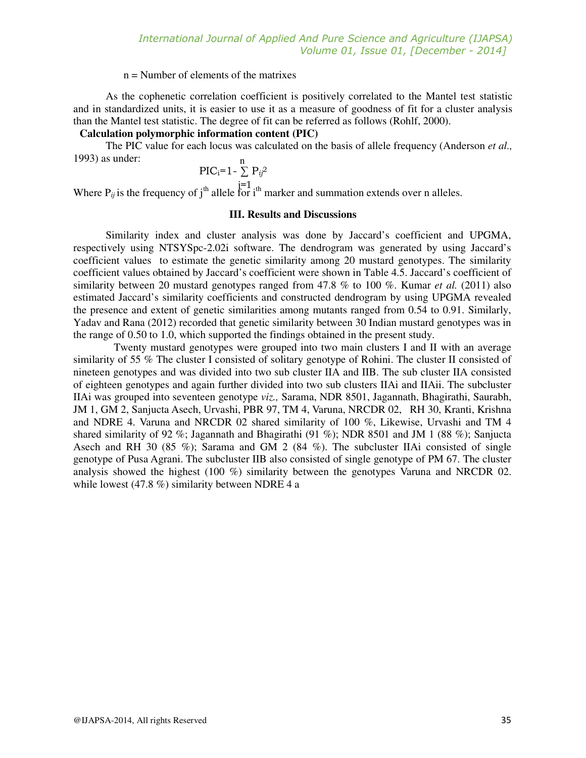#### n = Number of elements of the matrixes

As the cophenetic correlation coefficient is positively correlated to the Mantel test statistic and in standardized units, it is easier to use it as a measure of goodness of fit for a cluster analysis than the Mantel test statistic. The degree of fit can be referred as follows (Rohlf, 2000).

# **Calculation polymorphic information content (PIC)**

The PIC value for each locus was calculated on the basis of allele frequency (Anderson *et al.,*  1993) as under: n

$$
\text{PIC}_{\text{i}}=1-\sum_{i=1}^{n} \text{P}_{i}^{2}
$$

Where  $P_{ij}$  is the frequency of j<sup>th</sup> allele for i<sup>th</sup> marker and summation extends over n alleles.

#### **III. Results and Discussions**

Similarity index and cluster analysis was done by Jaccard's coefficient and UPGMA, respectively using NTSYSpc-2.02i software. The dendrogram was generated by using Jaccard's coefficient values to estimate the genetic similarity among 20 mustard genotypes. The similarity coefficient values obtained by Jaccard's coefficient were shown in Table 4.5. Jaccard's coefficient of similarity between 20 mustard genotypes ranged from 47.8 % to 100 %. Kumar *et al.* (2011) also estimated Jaccard's similarity coefficients and constructed dendrogram by using UPGMA revealed the presence and extent of genetic similarities among mutants ranged from 0.54 to 0.91. Similarly, Yadav and Rana (2012) recorded that genetic similarity between 30 Indian mustard genotypes was in the range of 0.50 to 1.0, which supported the findings obtained in the present study.

Twenty mustard genotypes were grouped into two main clusters I and II with an average similarity of 55 % The cluster I consisted of solitary genotype of Rohini. The cluster II consisted of nineteen genotypes and was divided into two sub cluster IIA and IIB. The sub cluster IIA consisted of eighteen genotypes and again further divided into two sub clusters IIAi and IIAii. The subcluster IIAi was grouped into seventeen genotype *viz.,* Sarama, NDR 8501, Jagannath, Bhagirathi, Saurabh, JM 1, GM 2, Sanjucta Asech, Urvashi, PBR 97, TM 4, Varuna, NRCDR 02, RH 30, Kranti, Krishna and NDRE 4. Varuna and NRCDR 02 shared similarity of 100 %, Likewise, Urvashi and TM 4 shared similarity of 92 %; Jagannath and Bhagirathi (91 %); NDR 8501 and JM 1 (88 %); Sanjucta Asech and RH 30 (85 %); Sarama and GM 2 (84 %). The subcluster IIAi consisted of single genotype of Pusa Agrani. The subcluster IIB also consisted of single genotype of PM 67. The cluster analysis showed the highest (100 %) similarity between the genotypes Varuna and NRCDR 02. while lowest (47.8 %) similarity between NDRE 4 a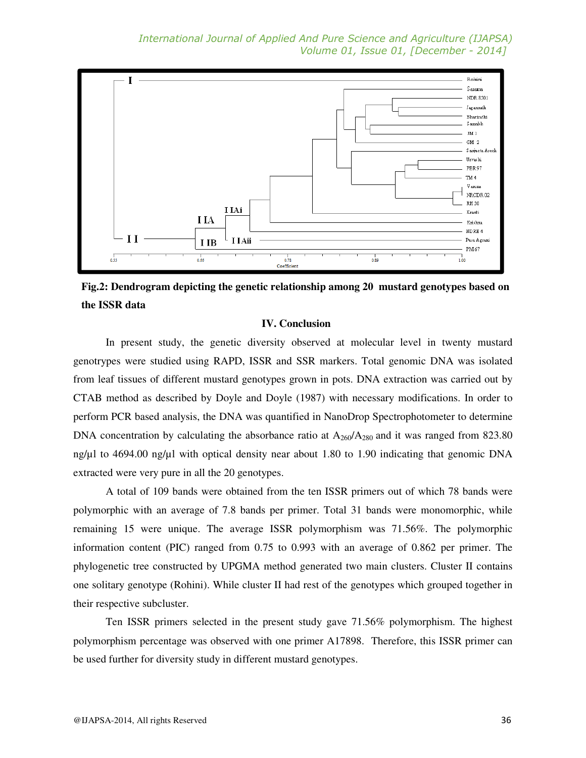*International Journal of Applied And Pure Science and Agriculture (IJAPSA) Volume 01, Issue 01, [December - 2014]* 



**Fig.2: Dendrogram depicting the genetic relationship among 20 mustard genotypes based on the ISSR data** 

#### **IV. Conclusion**

In present study, the genetic diversity observed at molecular level in twenty mustard genotrypes were studied using RAPD, ISSR and SSR markers. Total genomic DNA was isolated from leaf tissues of different mustard genotypes grown in pots. DNA extraction was carried out by CTAB method as described by Doyle and Doyle (1987) with necessary modifications. In order to perform PCR based analysis, the DNA was quantified in NanoDrop Spectrophotometer to determine DNA concentration by calculating the absorbance ratio at  $A_{260}/A_{280}$  and it was ranged from 823.80 ng/µl to 4694.00 ng/µl with optical density near about 1.80 to 1.90 indicating that genomic DNA extracted were very pure in all the 20 genotypes.

A total of 109 bands were obtained from the ten ISSR primers out of which 78 bands were polymorphic with an average of 7.8 bands per primer. Total 31 bands were monomorphic, while remaining 15 were unique. The average ISSR polymorphism was 71.56%. The polymorphic information content (PIC) ranged from 0.75 to 0.993 with an average of 0.862 per primer. The phylogenetic tree constructed by UPGMA method generated two main clusters. Cluster II contains one solitary genotype (Rohini). While cluster II had rest of the genotypes which grouped together in their respective subcluster.

Ten ISSR primers selected in the present study gave 71.56% polymorphism. The highest polymorphism percentage was observed with one primer A17898. Therefore, this ISSR primer can be used further for diversity study in different mustard genotypes.